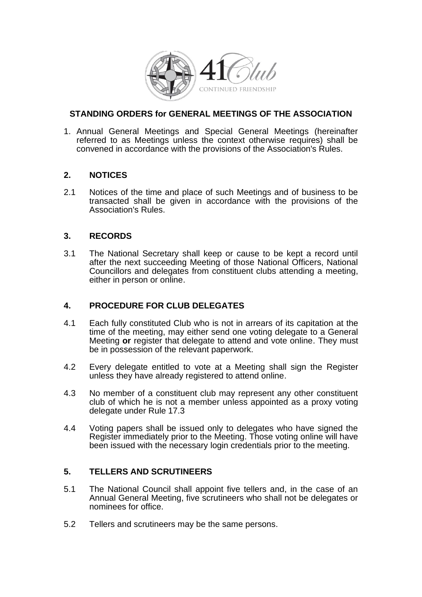

# **STANDING ORDERS for GENERAL MEETINGS OF THE ASSOCIATION**

1. Annual General Meetings and Special General Meetings (hereinafter referred to as Meetings unless the context otherwise requires) shall be convened in accordance with the provisions of the Association's Rules.

# **2. NOTICES**

2.1 Notices of the time and place of such Meetings and of business to be transacted shall be given in accordance with the provisions of the Association's Rules.

#### **3. RECORDS**

3.1 The National Secretary shall keep or cause to be kept a record until after the next succeeding Meeting of those National Officers, National Councillors and delegates from constituent clubs attending a meeting, either in person or online.

# **4. PROCEDURE FOR CLUB DELEGATES**

- 4.1 Each fully constituted Club who is not in arrears of its capitation at the time of the meeting, may either send one voting delegate to a General Meeting **or** register that delegate to attend and vote online. They must be in possession of the relevant paperwork.
- 4.2 Every delegate entitled to vote at a Meeting shall sign the Register unless they have already registered to attend online.
- 4.3 No member of a constituent club may represent any other constituent club of which he is not a member unless appointed as a proxy voting delegate under Rule 17.3
- 4.4 Voting papers shall be issued only to delegates who have signed the Register immediately prior to the Meeting. Those voting online will have been issued with the necessary login credentials prior to the meeting.

# **5. TELLERS AND SCRUTINEERS**

- 5.1 The National Council shall appoint five tellers and, in the case of an Annual General Meeting, five scrutineers who shall not be delegates or nominees for office.
- 5.2 Tellers and scrutineers may be the same persons.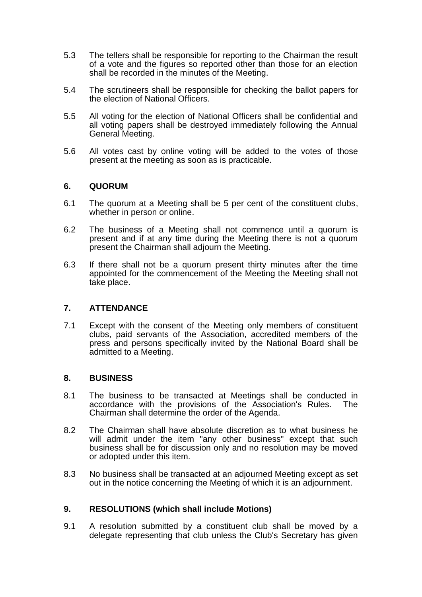- 5.3 The tellers shall be responsible for reporting to the Chairman the result of a vote and the figures so reported other than those for an election shall be recorded in the minutes of the Meeting.
- 5.4 The scrutineers shall be responsible for checking the ballot papers for the election of National Officers.
- 5.5 All voting for the election of National Officers shall be confidential and all voting papers shall be destroyed immediately following the Annual General Meeting.
- 5.6 All votes cast by online voting will be added to the votes of those present at the meeting as soon as is practicable.

#### **6. QUORUM**

- 6.1 The quorum at a Meeting shall be 5 per cent of the constituent clubs, whether in person or online.
- 6.2 The business of a Meeting shall not commence until a quorum is present and if at any time during the Meeting there is not a quorum present the Chairman shall adjourn the Meeting.
- 6.3 If there shall not be a quorum present thirty minutes after the time appointed for the commencement of the Meeting the Meeting shall not take place.

#### **7. ATTENDANCE**

7.1 Except with the consent of the Meeting only members of constituent clubs, paid servants of the Association, accredited members of the press and persons specifically invited by the National Board shall be admitted to a Meeting.

#### **8. BUSINESS**

- 8.1 The business to be transacted at Meetings shall be conducted in accordance with the provisions of the Association's Rules. The Chairman shall determine the order of the Agenda.
- 8.2 The Chairman shall have absolute discretion as to what business he will admit under the item "any other business" except that such business shall be for discussion only and no resolution may be moved or adopted under this item.
- 8.3 No business shall be transacted at an adjourned Meeting except as set out in the notice concerning the Meeting of which it is an adjournment.

# **9. RESOLUTIONS (which shall include Motions)**

9.1 A resolution submitted by a constituent club shall be moved by a delegate representing that club unless the Club's Secretary has given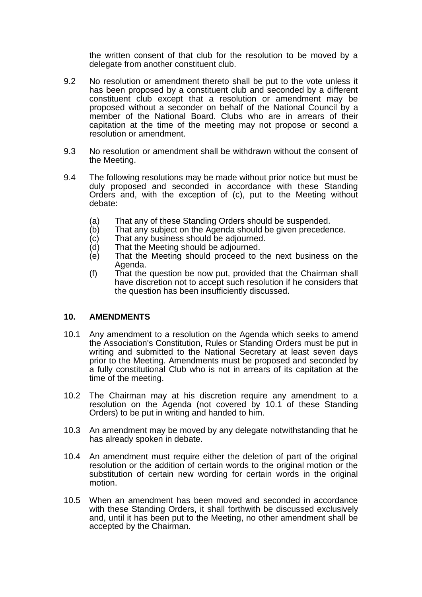the written consent of that club for the resolution to be moved by a delegate from another constituent club.

- 9.2 No resolution or amendment thereto shall be put to the vote unless it has been proposed by a constituent club and seconded by a different constituent club except that a resolution or amendment may be proposed without a seconder on behalf of the National Council by a member of the National Board. Clubs who are in arrears of their capitation at the time of the meeting may not propose or second a resolution or amendment.
- 9.3 No resolution or amendment shall be withdrawn without the consent of the Meeting.
- 9.4 The following resolutions may be made without prior notice but must be duly proposed and seconded in accordance with these Standing Orders and, with the exception of (c), put to the Meeting without debate:
	-
	- (a) That any of these Standing Orders should be suspended.<br>(b) That any subject on the Agenda should be given preceder That any subject on the Agenda should be given precedence.
	- (c) That any business should be adjourned.<br>(d) That the Meeting should be adiourned.
	- That the Meeting should be adjourned.
	- (e) That the Meeting should proceed to the next business on the Agenda.
	- (f) That the question be now put, provided that the Chairman shall have discretion not to accept such resolution if he considers that the question has been insufficiently discussed.

#### **10. AMENDMENTS**

- 10.1 Any amendment to a resolution on the Agenda which seeks to amend the Association's Constitution, Rules or Standing Orders must be put in writing and submitted to the National Secretary at least seven days prior to the Meeting. Amendments must be proposed and seconded by a fully constitutional Club who is not in arrears of its capitation at the time of the meeting.
- 10.2 The Chairman may at his discretion require any amendment to a resolution on the Agenda (not covered by 10.1 of these Standing Orders) to be put in writing and handed to him.
- 10.3 An amendment may be moved by any delegate notwithstanding that he has already spoken in debate.
- 10.4 An amendment must require either the deletion of part of the original resolution or the addition of certain words to the original motion or the substitution of certain new wording for certain words in the original motion.
- 10.5 When an amendment has been moved and seconded in accordance with these Standing Orders, it shall forthwith be discussed exclusively and, until it has been put to the Meeting, no other amendment shall be accepted by the Chairman.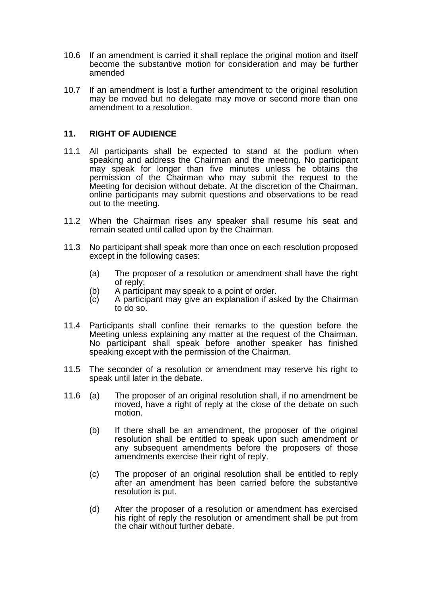- 10.6 If an amendment is carried it shall replace the original motion and itself become the substantive motion for consideration and may be further amended
- 10.7 If an amendment is lost a further amendment to the original resolution may be moved but no delegate may move or second more than one amendment to a resolution.

# **11. RIGHT OF AUDIENCE**

- 11.1 All participants shall be expected to stand at the podium when speaking and address the Chairman and the meeting. No participant may speak for longer than five minutes unless he obtains the permission of the Chairman who may submit the request to the Meeting for decision without debate. At the discretion of the Chairman, online participants may submit questions and observations to be read out to the meeting.
- 11.2 When the Chairman rises any speaker shall resume his seat and remain seated until called upon by the Chairman.
- 11.3 No participant shall speak more than once on each resolution proposed except in the following cases:
	- (a) The proposer of a resolution or amendment shall have the right of reply:
	- (b) A participant may speak to a point of order.
	- $(c)$  A participant may give an explanation if asked by the Chairman to do so.
- 11.4 Participants shall confine their remarks to the question before the Meeting unless explaining any matter at the request of the Chairman. No participant shall speak before another speaker has finished speaking except with the permission of the Chairman.
- 11.5 The seconder of a resolution or amendment may reserve his right to speak until later in the debate.
- 11.6 (a) The proposer of an original resolution shall, if no amendment be moved, have a right of reply at the close of the debate on such motion.
	- (b) If there shall be an amendment, the proposer of the original resolution shall be entitled to speak upon such amendment or any subsequent amendments before the proposers of those amendments exercise their right of reply.
	- (c) The proposer of an original resolution shall be entitled to reply after an amendment has been carried before the substantive resolution is put.
	- (d) After the proposer of a resolution or amendment has exercised his right of reply the resolution or amendment shall be put from the chair without further debate.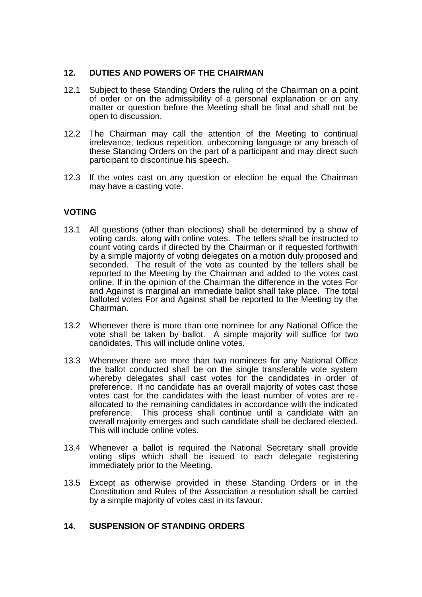# **12. DUTIES AND POWERS OF THE CHAIRMAN**

- 12.1 Subject to these Standing Orders the ruling of the Chairman on a point of order or on the admissibility of a personal explanation or on any matter or question before the Meeting shall be final and shall not be open to discussion.
- 12.2 The Chairman may call the attention of the Meeting to continual irrelevance, tedious repetition, unbecoming language or any breach of these Standing Orders on the part of a participant and may direct such participant to discontinue his speech.
- 12.3 If the votes cast on any question or election be equal the Chairman may have a casting vote.

# **VOTING**

- 13.1 All questions (other than elections) shall be determined by a show of voting cards, along with online votes. The tellers shall be instructed to count voting cards if directed by the Chairman or if requested forthwith by a simple majority of voting delegates on a motion duly proposed and seconded. The result of the vote as counted by the tellers shall be reported to the Meeting by the Chairman and added to the votes cast online. If in the opinion of the Chairman the difference in the votes For and Against is marginal an immediate ballot shall take place. The total balloted votes For and Against shall be reported to the Meeting by the Chairman.
- 13.2 Whenever there is more than one nominee for any National Office the vote shall be taken by ballot. A simple majority will suffice for two candidates. This will include online votes.
- 13.3 Whenever there are more than two nominees for any National Office the ballot conducted shall be on the single transferable vote system whereby delegates shall cast votes for the candidates in order of preference. If no candidate has an overall majority of votes cast those votes cast for the candidates with the least number of votes are reallocated to the remaining candidates in accordance with the indicated preference. This process shall continue until a candidate with an overall majority emerges and such candidate shall be declared elected. This will include online votes.
- 13.4 Whenever a ballot is required the National Secretary shall provide voting slips which shall be issued to each delegate registering immediately prior to the Meeting.
- 13.5 Except as otherwise provided in these Standing Orders or in the Constitution and Rules of the Association a resolution shall be carried by a simple majority of votes cast in its favour.

# **14. SUSPENSION OF STANDING ORDERS**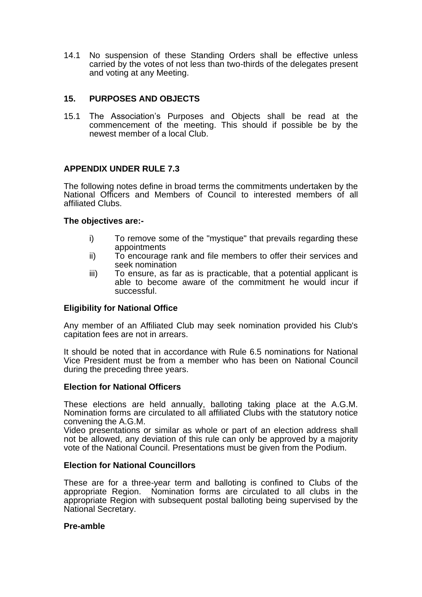14.1 No suspension of these Standing Orders shall be effective unless carried by the votes of not less than two-thirds of the delegates present and voting at any Meeting.

# **15. PURPOSES AND OBJECTS**

15.1 The Association's Purposes and Objects shall be read at the commencement of the meeting. This should if possible be by the newest member of a local Club.

# **APPENDIX UNDER RULE 7.3**

The following notes define in broad terms the commitments undertaken by the National Officers and Members of Council to interested members of all affiliated Clubs.

#### **The objectives are:-**

- i) To remove some of the "mystique" that prevails regarding these appointments
- ii) To encourage rank and file members to offer their services and seek nomination
- iii) To ensure, as far as is practicable, that a potential applicant is able to become aware of the commitment he would incur if successful.

#### **Eligibility for National Office**

Any member of an Affiliated Club may seek nomination provided his Club's capitation fees are not in arrears.

It should be noted that in accordance with Rule 6.5 nominations for National Vice President must be from a member who has been on National Council during the preceding three years.

#### **Election for National Officers**

These elections are held annually, balloting taking place at the A.G.M. Nomination forms are circulated to all affiliated Clubs with the statutory notice convening the A.G.M.

Video presentations or similar as whole or part of an election address shall not be allowed, any deviation of this rule can only be approved by a majority vote of the National Council. Presentations must be given from the Podium.

#### **Election for National Councillors**

These are for a three-year term and balloting is confined to Clubs of the appropriate Region. Nomination forms are circulated to all clubs in the appropriate Region with subsequent postal balloting being supervised by the National Secretary.

#### **Pre-amble**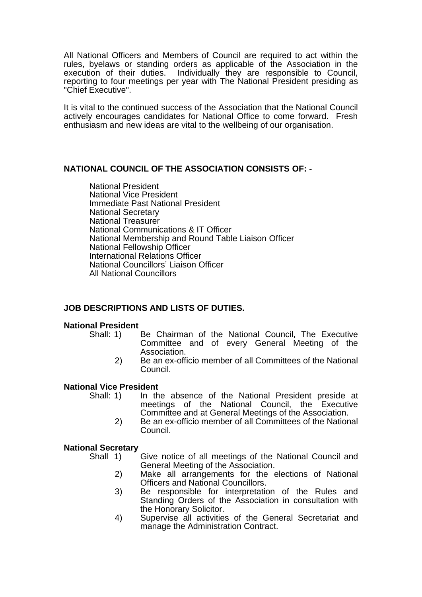All National Officers and Members of Council are required to act within the rules, byelaws or standing orders as applicable of the Association in the execution of their duties. Individually they are responsible to Council, reporting to four meetings per year with The National President presiding as "Chief Executive".

It is vital to the continued success of the Association that the National Council actively encourages candidates for National Office to come forward. Fresh enthusiasm and new ideas are vital to the wellbeing of our organisation.

# **NATIONAL COUNCIL OF THE ASSOCIATION CONSISTS OF: -**

National President National Vice President Immediate Past National President National Secretary National Treasurer National Communications & IT Officer National Membership and Round Table Liaison Officer National Fellowship Officer International Relations Officer National Councillors' Liaison Officer All National Councillors

# **JOB DESCRIPTIONS AND LISTS OF DUTIES.**

#### **National President**

- Shall: 1) Be Chairman of the National Council, The Executive Committee and of every General Meeting of the Association.
	- 2) Be an ex-officio member of all Committees of the National Council.

#### **National Vice President**

- Shall: 1) In the absence of the National President preside at meetings of the National Council, the Executive Committee and at General Meetings of the Association.
	- 2) Be an ex-officio member of all Committees of the National Council.

# **National Secretary**

- Give notice of all meetings of the National Council and General Meeting of the Association.
	- 2) Make all arrangements for the elections of National Officers and National Councillors.
	- 3) Be responsible for interpretation of the Rules and Standing Orders of the Association in consultation with the Honorary Solicitor.
	- 4) Supervise all activities of the General Secretariat and manage the Administration Contract.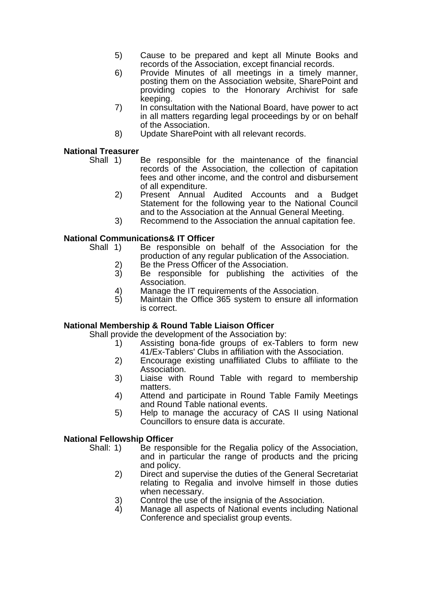- 5) Cause to be prepared and kept all Minute Books and records of the Association, except financial records.
- 6) Provide Minutes of all meetings in a timely manner, posting them on the Association website, SharePoint and providing copies to the Honorary Archivist for safe keeping.
- 7) In consultation with the National Board, have power to act in all matters regarding legal proceedings by or on behalf of the Association.
- 8) Update SharePoint with all relevant records.

# **National Treasurer**

- Shall 1) Be responsible for the maintenance of the financial records of the Association, the collection of capitation fees and other income, and the control and disbursement of all expenditure.
	- 2) Present Annual Audited Accounts and a Budget Statement for the following year to the National Council and to the Association at the Annual General Meeting.
	- 3) Recommend to the Association the annual capitation fee.

# **National Communications& IT Officer**<br>Shall 1) Be responsible on

- Be responsible on behalf of the Association for the production of any regular publication of the Association.
	- 2) Be the Press Officer of the Association.
	- 3) Be responsible for publishing the activities of the Association.
	- 4) Manage the IT requirements of the Association.<br>5) Maintain the Office 365 system to ensure all in
	- Maintain the Office 365 system to ensure all information is correct.

# **National Membership & Round Table Liaison Officer**

Shall provide the development of the Association by:

- 1) Assisting bona-fide groups of ex-Tablers to form new 41/Ex-Tablers' Clubs in affiliation with the Association.
- 2) Encourage existing unaffiliated Clubs to affiliate to the Association.
- 3) Liaise with Round Table with regard to membership matters.
- 4) Attend and participate in Round Table Family Meetings and Round Table national events.
- 5) Help to manage the accuracy of CAS II using National Councillors to ensure data is accurate.

# **National Fellowship Officer**

- Shall: 1) Be responsible for the Regalia policy of the Association, and in particular the range of products and the pricing and policy.
	- 2) Direct and supervise the duties of the General Secretariat relating to Regalia and involve himself in those duties when necessary.
	- 3) Control the use of the insignia of the Association.<br>4) Manage all aspects of National events including
	- Manage all aspects of National events including National Conference and specialist group events.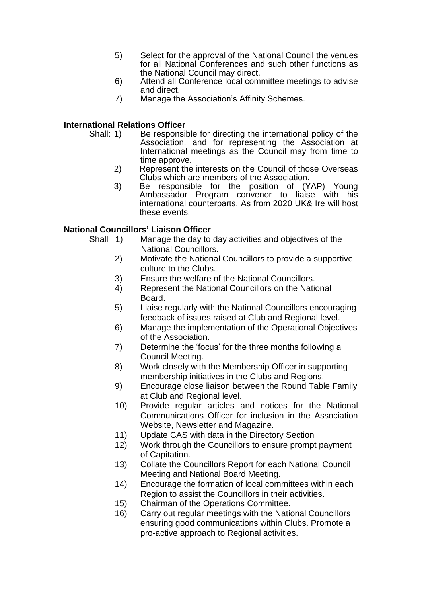- 5) Select for the approval of the National Council the venues for all National Conferences and such other functions as the National Council may direct.
- 6) Attend all Conference local committee meetings to advise and direct.
- 7) Manage the Association's Affinity Schemes.

# **International Relations Officer**

- Shall: 1) Be responsible for directing the international policy of the Association, and for representing the Association at International meetings as the Council may from time to time approve.
	- 2) Represent the interests on the Council of those Overseas Clubs which are members of the Association.
	- 3) Be responsible for the position of (YAP) Young Ambassador Program convenor to liaise with his international counterparts. As from 2020 UK& Ire will host these events.

# **National Councillors' Liaison Officer**

- Shall 1) Manage the day to day activities and objectives of the National Councillors.
	- 2) Motivate the National Councillors to provide a supportive culture to the Clubs.
	- 3) Ensure the welfare of the National Councillors.
	- 4) Represent the National Councillors on the National Board.
	- 5) Liaise regularly with the National Councillors encouraging feedback of issues raised at Club and Regional level.
	- 6) Manage the implementation of the Operational Objectives of the Association.
	- 7) Determine the 'focus' for the three months following a Council Meeting.
	- 8) Work closely with the Membership Officer in supporting membership initiatives in the Clubs and Regions.
	- 9) Encourage close liaison between the Round Table Family at Club and Regional level.
	- 10) Provide regular articles and notices for the National Communications Officer for inclusion in the Association Website, Newsletter and Magazine.
	- 11) Update CAS with data in the Directory Section
	- 12) Work through the Councillors to ensure prompt payment of Capitation.
	- 13) Collate the Councillors Report for each National Council Meeting and National Board Meeting.
	- 14) Encourage the formation of local committees within each Region to assist the Councillors in their activities.
	- 15) Chairman of the Operations Committee.
	- 16) Carry out regular meetings with the National Councillors ensuring good communications within Clubs. Promote a pro-active approach to Regional activities.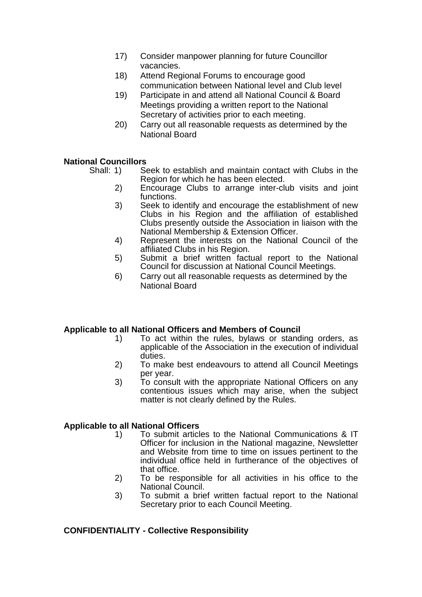- 17) Consider manpower planning for future Councillor vacancies.
- 18) Attend Regional Forums to encourage good communication between National level and Club level
- 19) Participate in and attend all National Council & Board Meetings providing a written report to the National Secretary of activities prior to each meeting.
- 20) Carry out all reasonable requests as determined by the National Board

# **National Councillors**

Shall: 1) Seek to establish and maintain contact with Clubs in the Region for which he has been elected.

- 2) Encourage Clubs to arrange inter-club visits and joint functions.
- 3) Seek to identify and encourage the establishment of new Clubs in his Region and the affiliation of established Clubs presently outside the Association in liaison with the National Membership & Extension Officer.
- 4) Represent the interests on the National Council of the affiliated Clubs in his Region.
- 5) Submit a brief written factual report to the National Council for discussion at National Council Meetings.
- 6) Carry out all reasonable requests as determined by the National Board

#### **Applicable to all National Officers and Members of Council**

- 1) To act within the rules, bylaws or standing orders, as applicable of the Association in the execution of individual duties.
- 2) To make best endeavours to attend all Council Meetings per year.
- 3) To consult with the appropriate National Officers on any contentious issues which may arise, when the subject matter is not clearly defined by the Rules.

# **Applicable to all National Officers**

- 1) To submit articles to the National Communications & IT Officer for inclusion in the National magazine, Newsletter and Website from time to time on issues pertinent to the individual office held in furtherance of the objectives of that office.
- 2) To be responsible for all activities in his office to the National Council.
- 3) To submit a brief written factual report to the National Secretary prior to each Council Meeting.

# **CONFIDENTIALITY - Collective Responsibility**